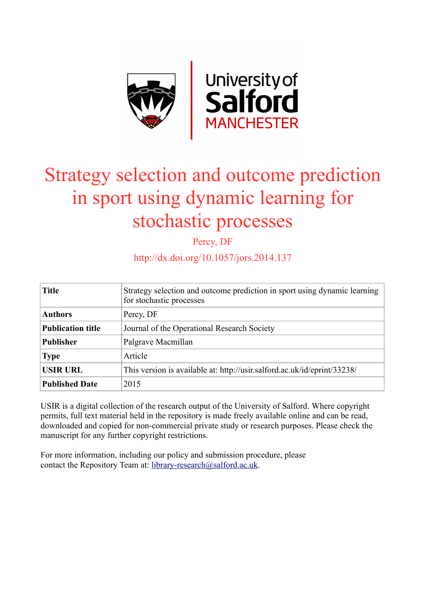

# Strategy selection and outcome prediction in sport using dynamic learning for stochastic processes

Percy, DF

http://dx.doi.org/10.1057/jors.2014.137

| <b>Title</b>             | Strategy selection and outcome prediction in sport using dynamic learning<br>for stochastic processes |  |  |  |  |
|--------------------------|-------------------------------------------------------------------------------------------------------|--|--|--|--|
| <b>Authors</b>           | Percy, DF                                                                                             |  |  |  |  |
| <b>Publication title</b> | Journal of the Operational Research Society                                                           |  |  |  |  |
| <b>Publisher</b>         | Palgrave Macmillan                                                                                    |  |  |  |  |
| <b>Type</b>              | Article                                                                                               |  |  |  |  |
| <b>USIR URL</b>          | This version is available at: http://usir.salford.ac.uk/id/eprint/33238/                              |  |  |  |  |
| <b>Published Date</b>    | 2015                                                                                                  |  |  |  |  |

USIR is a digital collection of the research output of the University of Salford. Where copyright permits, full text material held in the repository is made freely available online and can be read, downloaded and copied for non-commercial private study or research purposes. Please check the manuscript for any further copyright restrictions.

For more information, including our policy and submission procedure, please contact the Repository Team at: [library-research@salford.ac.uk.](mailto:library-research@salford.ac.uk)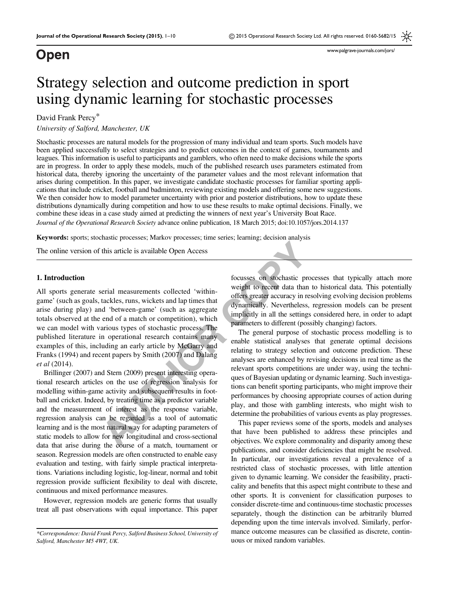## Strategy selection and outcome prediction in sport using dynamic learning for stochastic processes

### David Frank Percy \*

**Open** 

University of Salford, Manchester, UK

Stochastic processes are natural models for the progression of many individual and team sports. Such models have been applied successfully to select strategies and to predict outcomes in the context of games, tournaments and leagues. This information is useful to participants and gamblers, who often need to make decisions while the sports are in progress. In order to apply these models, much of the published research uses parameters estimated from historical data, thereby ignoring the uncertainty of the parameter values and the most relevant information that arises during competition. In this paper, we investigate candidate stochastic processes for familiar sporting applications that include cricket, football and badminton, reviewing existing models and offering some new suggestions. We then consider how to model parameter uncertainty with prior and posterior distributions, how to update these distributions dynamically during competition and how to use these results to make optimal decisions. Finally, we combine these ideas in a case study aimed at predicting the winners of next year 's University Boat Race. Journal of the Operational Research Society advance online publication, 18 March 2015; doi:[10.1057/jors.2014.137](http://dx.doi.org/10.1057/jors.2014.137)

Keywords: sports; stochastic processes; Markov processes; time series; learning; decision analysis

The online version of this article is available Open Access

#### 1. Introduction

All sports generate serial measurements collected 'withingame' (such as goals, tackles, runs, wickets and lap times that arise during play) and 'between-game ' (such as aggregate totals observed at the end of a match or competition), which we can model with various types of stochastic process. The published literature in operational research contains many examples of this, including an early article by McGarry and [Franks \(1994\)](#page-10-0) and recent papers by Smith (2007) and Dalang et al [\(2014\)](#page-10-0).

**Example 1 Example 1 Example 1 Example 1 Example 1 AU Example 1 COND Example 1 COND Example 1 COND COND Example 1 COND COPY COPY COPY COPY COPY COPY COPY COPY COPY COPY COP** [Brillinger \(2007\)](#page-9-0) and Stern (2009) present interesting operational research articles on the use of regression analysis for modelling within-game activity and subsequent results in football and cricket. Indeed, by treating time as a predictor variable and the measurement of interest as the response variable, regression analysis can be regarded as a tool of automatic learning and is the most natural way for adapting parameters of static models to allow for new longitudinal and cross-sectional data that arise during the course of a match, tournament or season. Regression models are often constructed to enable easy evaluation and testing, with fairly simple practical interpretations. Variations including logistic, log-linear, normal and tobit regression provide sufficient flexibility to deal with discrete, continuous and mixed performance measures.

However, regression models are generic forms that usually treat all past observations with equal importance. This paper focusses on stochastic processes that typically attach more weight to recent data than to historical data. This potentially offers greater accuracy in resolving evolving decision problems dynamically. Nevertheless, regression models can be present implicitly in all the settings considered here, in order to adapt parameters to different (possibly changing) factors.

The general purpose of stochastic process modelling is to enable statistical analyses that generate optimal decisions relating to strategy selection and outcome prediction. These analyses are enhanced by revising decisions in real time as the relevant sports competitions are under way, using the techniques of Bayesian updating or dynamic learning. Such investigations can benefit sporting participants, who might improve their performances by choosing appropriate courses of action during play, and those with gambling interests, who might wish to determine the probabilities of various events as play progresses.

This paper reviews some of the sports, models and analyses that have been published to address these principles and objectives. We explore commonality and disparity among these publications, and consider de ficiencies that might be resolved. In particular, our investigations reveal a prevalence of a restricted class of stochastic processes, with little attention given to dynamic learning. We consider the feasibility, practicality and benefits that this aspect might contribute to these and other sports. It is convenient for classi fication purposes to consider discrete-time and continuous-time stochastic processes separately, though the distinction can be arbitrarily blurred depending upon the time intervals involved. Similarly, performance outcome measures can be classified as discrete, continuous or mixed random variables.

<sup>\*</sup>Correspondence: David Frank Percy, Salford Business School, University of Salford, Manchester M5 4WT, UK.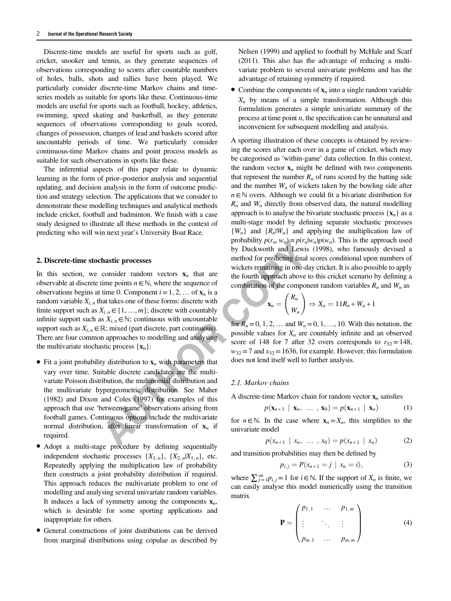Discrete-time models are useful for sports such as golf, cricket, snooker and tennis, as they generate sequences of observations corresponding to scores after countable numbers of holes, balls, shots and rallies have been played. We particularly consider discrete-time Markov chains and timeseries models as suitable for sports like these. Continuous-time models are useful for sports such as football, hockey, athletics, swimming, speed skating and basketball, as they generate sequences of observations corresponding to goals scored, changes of possession, changes of lead and baskets scored after uncountable periods of time. We particularly consider continuous-time Markov chains and point process models as suitable for such observations in sports like these.

The inferential aspects of this paper relate to dynamic learning in the form of prior–posterior analysis and sequential updating, and decision analysis in the form of outcome prediction and strategy selection. The applications that we consider to demonstrate these modelling techniques and analytical methods include cricket, football and badminton. We finish with a case study designed to illustrate all these methods in the context of predicting who will win next year 's University Boat Race.

#### 2. Discrete-time stochastic processes

In this section, we consider random vectors  $x_n$  that are observable at discrete time points  $n \in \mathbb{N}$ , where the sequence of observations begins at time 0. Component  $i = 1, 2, ...$  of  $\mathbf{x}_n$  is a random variable  $X_{i,n}$  that takes one of these forms: discrete with finite support such as  $X_{i,n} \in \{1, ..., m\}$ ; discrete with countably infinite support such as  $X_{i,n} \in \mathbb{N}$ ; continuous with uncountable support such as  $X_{i,n} \in \mathbb{R}$ ; mixed (part discrete, part continuous). There are four common approaches to modelling and analysing the multivariate stochastic process  $\{x_n\}$ :

- **EXECUTE: EXECUTE: EXECUTE: EXECUTE: EXECUTE: EXECUTE: AUTHAGING ISSOCITE: AUTHAGING ISSOCITE: AUTHAGING ISSOCITE: AUTHAGING ISSOCITE: AUTHAGING ISSOCITE: AUTHAGING ISSOCITE: AUTHAGING ISSOCITE:** • Fit a joint probability distribution to  $\mathbf{x}_n$  with parameters that vary over time. Suitable discrete candidates are the multivariate Poisson distribution, the multinomial distribution and the multivariate hypergeometric distribution. See Maher [\(1982\)](#page-10-0) and [Dixon and Coles \(1997\)](#page-10-0) for examples of this approach that use 'between-game ' observations arising from football games. Continuous options include the multivariate normal distribution, after linear transformation of  $x_n$  if required.
- Adopt a multi-stage procedure by de fining sequentially independent stochastic processes  $\{X_{1,n}\}, \{X_{2,n}|X_{1,n}\},$  etc. | Repeatedly applying the multiplication law of probability then constructs a joint probability distribution if required. This approach reduces the multivariate problem to one of modelling and analysing several univariate random variables. It induces a lack of symmetry among the components  $\mathbf{x}_n$ , which is desirable for some sporting applications and inappropriate for others.
- General constructions of joint distributions can be derived from marginal distributions using copulae as described by

[Nelsen \(1999\)](#page-10-0) and applied to football by [McHale and Scarf](#page-10-0) [\(2011\)](#page-10-0). This also has the advantage of reducing a multivariate problem to several univariate problems and has the advantage of retaining symmetry if required.

• Combine the components of  $\mathbf{x}_n$  into a single random variable  $X_n$  by means of a simple transformation. Although this formulation generates a simple univariate summary of the process at time point  $n$ , the specification can be unnatural and inconvenient for subsequent modelling and analysis.

A sporting illustration of these concepts is obtained by reviewing the scores after each over in a game of cricket, which may be categorised as 'within-game ' data collection. In this context, the random vector  $\mathbf{x}_n$  might be defined with two components that represent the number  $R_n$  of runs scored by the batting side and the number  $W_n$  of wickets taken by the bowling side after  $n \in \mathbb{N}$  overs. Although we could fit a bivariate distribution for  $R_n$  and  $W_n$  directly from observed data, the natural modelling approach is to analyse the bivariate stochastic process  $\{x_n\}$  as a multi-stage model by de fining separate stochastic processes  $\{W_n\}$  and  $\{R_n | W_n\}$  and applying the multiplication law of | probability  $p(r_n, w_n) = p(r_n|w_n)p(w_n)$ . This is the approach used | by [Duckworth and Lewis \(1998\)](#page-10-0), who famously devised a method for predicting final scores conditional upon numbers of wickets remaining in one-day cricket. It is also possible to apply the fourth approach above to this cricket scenario by de fining a combination of the component random variables  $R_n$  and  $W_n$  as

$$
\mathbf{X}_n = \begin{pmatrix} R_n \\ W_n \end{pmatrix} \Rightarrow X_n = 11R_n + W_n + 1
$$

for  $R_n = 0, 1, 2, ...$  and  $W_n = 0, 1, ..., 10$ . With this notation, the possible values for  $X_n$  are countably infinite and an observed score of 148 for 7 after 32 overs corresponds to  $r_{32} = 148$ ,  $w_{32} = 7$  and  $x_{32} = 1636$ , for example. However, this formulation does not lend itself well to further analysis.

#### 2.1. Markov chains

A discrete-time Markov chain for random vector  $\mathbf{x}_n$  satisfies

$$
p(\mathbf{x}_{n+1} | \mathbf{x}_n, \dots, \mathbf{x}_0) = p(\mathbf{x}_{n+1} | \mathbf{x}_n)
$$
 (1)

for  $n \in \mathbb{N}$ . In the case where  $\mathbf{x}_n = X_n$ , this simplifies to the univariate model

$$
p(x_{n+1} | x_n, \ldots, x_0) = p(x_{n+1} | x_n)
$$
 (2)

and transition probabilities may then be de fined by

$$
p_{i,j} = P(x_{n+1} = j \mid x_n = i), \tag{3}
$$

where  $\sum_{j=1}^{\infty} p_{i,j} = 1$  for  $i \in \mathbb{N}$ . If the support of  $X_n$  is finite, we can easily analyse this model numerically using the transition matrix

$$
\mathbf{P} = \begin{pmatrix} p_{1,1} & \cdots & p_{1,m} \\ \vdots & \ddots & \vdots \\ p_{m,1} & \cdots & p_{m,m} \end{pmatrix}
$$
 (4)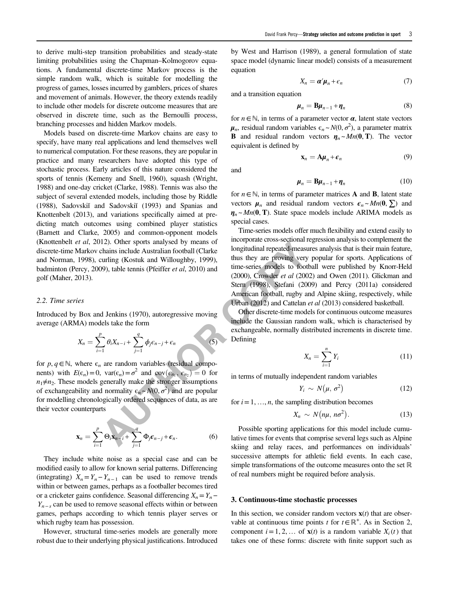to derive multi-step transition probabilities and steady-state limiting probabilities using the Chapman–Kolmogorov equations. A fundamental discrete-time Markov process is the simple random walk, which is suitable for modelling the progress of games, losses incurred by gamblers, prices of shares and movement of animals. However, the theory extends readily to include other models for discrete outcome measures that are observed in discrete time, such as the Bernoulli process, branching processes and hidden Markov models.

Models based on discrete-time Markov chains are easy to specify, have many real applications and lend themselves well to numerical computation. For these reasons, they are popular in practice and many researchers have adopted this type of stochastic process. Early articles of this nature considered the sports of tennis ([Kemeny and Snell, 1960\)](#page-10-0), squash [\(Wright,](#page-10-0) [1988](#page-10-0)) and one-day cricket [\(Clarke, 1988](#page-9-0)). Tennis was also the subject of several extended models, including those by [Riddle](#page-10-0) [\(1988\)](#page-10-0), Sadovski ĭ [and Sadovski](#page-10-0) ĭ (1993) and [Spanias and](#page-10-0) [Knottenbelt \(2013\),](#page-10-0) and variations speci fically aimed at predicting match outcomes using combined player statistics [\(Barnett and Clarke, 2005](#page-9-0)) and common-opponent models [\(Knottenbelt](#page-10-0) et al, 2012). Other sports analysed by means of discrete-time Markov chains include Australian football (Clarke [and Norman, 1998](#page-9-0)), curling (Kostuk and Willoughby, 1999), badminton [\(Percy, 2009\)](#page-10-0), table tennis (Pfeiffer et al, 2010) and golf ([Maher, 2013](#page-10-0)).

#### 2.2. Time series

Introduced by [Box and Jenkins \(1970\)](#page-9-0), autoregressive moving average (ARMA) models take the form

$$
X_n = \sum_{i=1}^p \theta_i X_{n-i} + \sum_{j=1}^q \phi_j \epsilon_{n-j} + \epsilon_n \tag{5}
$$

Et al., 2012). Oner sports analysed by means of incoporations, and the sports are too interest and the polytomark of the term (1998), curing (Kostuk and Willoughby, 1999), thus they are proving very a time-series models t for  $p, q \in \mathbb{N}$ , where  $\epsilon_n$  are random variables (residual components) with  $E(\epsilon_n) = 0$ ,  $var(\epsilon_n) = \sigma^2$  and  $cov(\epsilon_{n_1}, \epsilon_{n_2}) = 0$  for  $n_1 \neq n_2$ . These models generally make the stronger assumptions of exchangeability and normality  $\epsilon_n \sim N(0, \sigma^2)$  and are popular for modelling chronologically ordered sequences of data, as are their vector counterparts

$$
\mathbf{x}_n = \sum_{i=1}^p \Theta_i \mathbf{x}_{n-i} + \sum_{j=1}^q \Phi_j \boldsymbol{\epsilon}_{n-j} + \boldsymbol{\epsilon}_n.
$$
 (6)

They include white noise as a special case and can be modi fied easily to allow for known serial patterns. Differencing (integrating)  $X_n = Y_n - Y_{n-1}$  can be used to remove trends within or between games, perhaps as a footballer becomes tired or a cricketer gains confidence. Seasonal differencing  $X_n = Y_n$  –  $Y_{n-s}$  can be used to remove seasonal effects within or between games, perhaps according to which tennis player serves or which rugby team has possession.

However, structural time-series models are generally more robust due to their underlying physical justi fications. Introduced

by [West and Harrison \(1989\)](#page-10-0), a general formulation of state space model (dynamic linear model) consists of a measurement equation

$$
X_n = \alpha' \mu_n + \epsilon_n \tag{7}
$$

and a transition equation

$$
\boldsymbol{\mu}_n = \mathbf{B}\boldsymbol{\mu}_{n-1} + \boldsymbol{\eta}_n \tag{8}
$$

for  $n \in \mathbb{N}$ , in terms of a parameter vector  $\alpha$ , latent state vectors  $\mu_n$ , residual random variables  $\epsilon_n \sim N(0, \sigma^2)$ , a parameter matrix **B** and residual random vectors  $\eta_n \sim Mn(0, T)$ . The vector equivalent is de fined by

and

$$
\mathbf{x}_n = \mathbf{A}\boldsymbol{\mu}_n + \boldsymbol{\epsilon}_n \tag{9}
$$

 $(9)$ 

$$
\mu_n = B\mu_{n-1} + \eta_n \tag{10}
$$

for  $n \in \mathbb{N}$ , in terms of parameter matrices **A** and **B**, latent state vectors  $\mu_n$  and residual random vectors  $\epsilon_n \sim Mn(0, \sum)$  and  $\eta_n \sim Mn(0, T)$ . State space models include ARIMA models as special cases.

Time-series models offer much flexibility and extend easily to incorporate cross-sectional regression analysis to complement the longitudinal repeated-measures analysis that is their main feature, thus they are proving very popular for sports. Applications of time-series models to football were published by [Knorr-Held](#page-10-0) (2000), Crowder et al (2002) and [Owen \(2011\). Glickman and](#page-10-0) Stern (1998), [Stefani \(2009\)](#page-10-0) and [Percy \(2011a\)](#page-10-0) considered American football, rugby and Alpine skiing, respectively, while Urban (2012) and Cattelan et al (2013) considered basketball.

Other discrete-time models for continuous outcome measures include the Gaussian random walk, which is characterised by exchangeable, normally distributed increments in discrete time. De fining

$$
X_n = \sum_{i=1}^n Y_i \tag{11}
$$

in terms of mutually independent random variables

$$
Y_i \sim N(\mu, \sigma^2) \tag{12}
$$

for  $i = 1, \ldots, n$ , the sampling distribution becomes

$$
X_n \sim N\big(n\mu, n\sigma^2\big). \tag{13}
$$

Possible sporting applications for this model include cumulative times for events that comprise several legs such as Alpine skiing and relay races, and performances on individuals ' successive attempts for athletic field events. In each case, simple transformations of the outcome measures onto the set ℝ of real numbers might be required before analysis.

#### 3. Continuous-time stochastic processes

In this section, we consider random vectors  $\mathbf{x}(t)$  that are observable at continuous time points t for  $t \in \mathbb{R}^+$ . As in Section 2, component  $i = 1, 2, ...$  of  $\mathbf{x}(t)$  is a random variable  $X_i(t)$  that takes one of these forms: discrete with finite support such as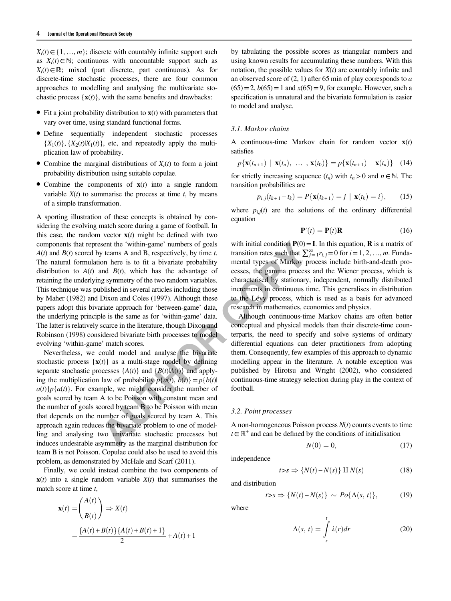$X_i(t) \in \{1, ..., m\}$ ; discrete with countably infinite support such as  $X_i(t) \in \mathbb{N}$ ; continuous with uncountable support such as  $X_i(t) \in \mathbb{R}$ ; mixed (part discrete, part continuous). As for discrete-time stochastic processes, there are four common approaches to modelling and analysing the multivariate stochastic process  $\{x(t)\}\$ , with the same benefits and drawbacks:

- Fit a joint probability distribution to  $\mathbf{x}(t)$  with parameters that vary over time, using standard functional forms.
- De fine sequentially independent stochastic processes  $\{X_1(t)\}\$ ,  $\{X_2(t)|X_1(t)\}\$ , etc, and repeatedly apply the multi-| plication law of probability.
- Combine the marginal distributions of  $X_i(t)$  to form a joint probability distribution using suitable copulae.
- Combine the components of  $x(t)$  into a single random variable  $X(t)$  to summarise the process at time  $t$ , by means of a simple transformation.

A sporting illustration of these concepts is obtained by considering the evolving match score during a game of football. In this case, the random vector  $\mathbf{x}(t)$  might be defined with two components that represent the 'within-game ' numbers of goals  $A(t)$  and  $B(t)$  scored by teams A and B, respectively, by time t. The natural formulation here is to fit a bivariate probability distribution to  $A(t)$  and  $B(t)$ , which has the advantage of retaining the underlying symmetry of the two random variables. This technique was published in several articles including those by [Maher \(1982\)](#page-10-0) and Dixon and Coles (1997). Although these papers adopt this bivariate approach for 'between-game ' data, the underlying principle is the same as for 'within-game ' data. The latter is relatively scarce in the literature, though Dixon and [Robinson \(1998\)](#page-10-0) considered bivariate birth processes to model evolving 'within-game ' match scores.

hat represent the 'within-game' numbers of goals<br>
scored by teams A and B, respectively, by time *t*. transition rates such that  $\Sigma$ <br>
comulation here is to fit a bivariate probability mental types of Markov p<br>
o  $A(t)$  an Nevertheless, we could model and analyse the bivariate stochastic process  $\{x(t)\}\$ as a multi-stage model by defining separate stochastic processes  $\{A(t)\}\$ and  $\{B(t)|A(t)\}\$ and apply-| ing the multiplication law of probability  $p\{a(t), b(t)\}=p\{b(t)\}$  $a(t)$ } $p{a(t)}$ . For example, we might consider the number of goals scored by team A to be Poisson with constant mean and the number of goals scored by team B to be Poisson with mean that depends on the number of goals scored by team A. This approach again reduces the bivariate problem to one of modelling and analysing two univariate stochastic processes but induces undesirable asymmetry as the marginal distribution for team B is not Poisson. Copulae could also be used to avoid this problem, as demonstrated by [McHale and Scarf \(2011\)](#page-10-0).

Finally, we could instead combine the two components of  $x(t)$  into a single random variable  $X(t)$  that summarises the match score at time *t*,

A tð Þ

$$
\mathbf{x}(t) = \begin{pmatrix} A(t) \\ B(t) \end{pmatrix} \Rightarrow X(t)
$$

$$
= \frac{\{A(t) + B(t)\}\{A(t) + B(t) + 1\}}{2} + A(t) + 1
$$

by tabulating the possible scores as triangular numbers and using known results for accumulating these numbers. With this notation, the possible values for  $X(t)$  are countably infinite and an observed score of  $(2, 1)$  after 65 min of play corresponds to a  $(65) = 2, b(65) = 1$  and  $x(65) = 9$ , for example. However, such a speci fication is unnatural and the bivariate formulation is easier to model and analyse.

#### 3.1. Markov chains

A continuous-time Markov chain for random vector  $\mathbf{x}(t)$ satis fies

$$
p\{\mathbf{x}(t_{n+1}) \mid \mathbf{x}(t_n), \ldots, \mathbf{x}(t_0)\} = p\{\mathbf{x}(t_{n+1}) \mid \mathbf{x}(t_n)\} \quad (14)
$$

for strictly increasing sequence  $(t_n)$  with  $t_n > 0$  and  $n \in \mathbb{N}$ . The transition probabilities are

$$
p_{i,j}(t_{k+1}-t_k) = P\{\mathbf{x}(t_{k+1})=j \mid \mathbf{x}(t_k)=i\},\qquad(15)
$$

where  $p_{i,j}(t)$  are the solutions of the ordinary differential equation

$$
\mathbf{P}'(t) = \mathbf{P}(t)\mathbf{R} \tag{16}
$$

with initial condition  $P(0) = I$ . In this equation, **R** is a matrix of transition rates such that  $\sum_{j=1}^{\infty} r_{i,j} = 0$  for  $i = 1, 2, ..., m$ . Fundamental types of Markov process include birth-and-death processes, the gamma process and the Wiener process, which is characterised by stationary, independent, normally distributed increments in continuous time. This generalises in distribution to the Lévy process, which is used as a basis for advanced research in mathematics, economics and physics.

Although continuous-time Markov chains are often better conceptual and physical models than their discrete-time counterparts, the need to specify and solve systems of ordinary differential equations can deter practitioners from adopting them. Consequently, few examples of this approach to dynamic modelling appear in the literature. A notable exception was published by [Hirotsu and Wright \(2002\)](#page-10-0), who considered continuous-time strategy selection during play in the context of football.

#### 3.2. Point processes

A non-homogeneous Poisson process  $N(t)$  counts events to time  $t \in \mathbb{R}^+$  and can be defined by the conditions of initialisation

$$
N(0) = 0,\t(17)
$$

independence

$$
t > s \Rightarrow \{N(t) - N(s)\} \amalg N(s) \tag{18}
$$

and distribution

$$
t>s \Rightarrow \{N(t)-N(s)\} \sim Po\{\Lambda(s,t)\},\tag{19}
$$

where

$$
\Lambda(s,\,t)=\int\limits_{s}^{t}\lambda(r)dr\qquad \qquad (20)
$$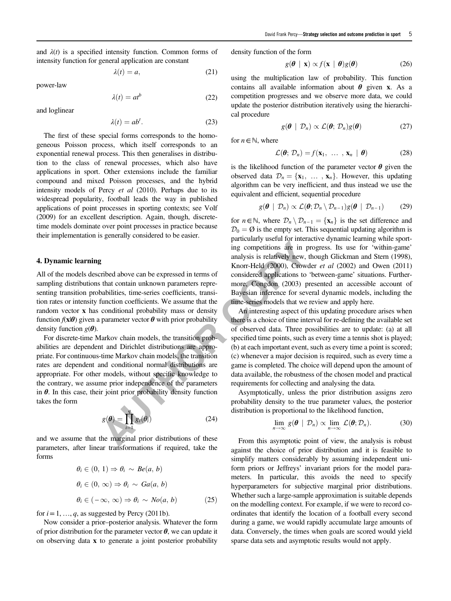and  $\lambda(t)$  is a specified intensity function. Common forms of intensity function for general application are constant

$$
\lambda(t) = a,\tag{21}
$$

power-law

$$
\lambda(t) = at^b \tag{22}
$$

and loglinear

$$
\lambda(t) = ab^t. \tag{23}
$$

The first of these special forms corresponds to the homogeneous Poisson process, which itself corresponds to an exponential renewal process. This then generalises in distribution to the class of renewal processes, which also have applications in sport. Other extensions include the familiar compound and mixed Poisson processes, and the hybrid intensity models of Percy *et al* [\(2010\).](#page-10-0) Perhaps due to its widespread popularity, football leads the way in published applications of point processes in sporting contexts; see [Volf](#page-10-0) [\(2009\)](#page-10-0) for an excellent description. Again, though, discretetime models dominate over point processes in practice because their implementation is generally considered to be easier.

#### 4. Dynamic learning

All of the models described above can be expressed in terms of sampling distributions that contain unknown parameters representing transition probabilities, time-series coefficients, transition rates or intensity function coefficients. We assume that the random vector x has conditional probability mass or density function  $f(\mathbf{x}|\boldsymbol{\theta})$  given a parameter vector  $\boldsymbol{\theta}$  with prior probability | density function  $g(\theta)$ .

**Example 10**<br> **Example 10**<br> **Example 10**<br> **Example 10**<br> **EXAMELE AUTER CONDING THE CONDING TON EXERCE (2000), Considered applications to<br>
tributions that contain unknown parameters represented applications to<br>
<b>AUTER COND** For discrete-time Markov chain models, the transition probabilities are dependent and Dirichlet distributions are appropriate. For continuous-time Markov chain models, the transition rates are dependent and conditional normal distributions are appropriate. For other models, without speci fic knowledge to the contrary, we assume prior independence of the parameters in  $\theta$ . In this case, their joint prior probability density function takes the form

$$
g(\boldsymbol{\theta}) = \prod_{i=1}^{q} g_i(\theta_i)
$$
 (24)

and we assume that the marginal prior distributions of these parameters, after linear transformations if required, take the forms

$$
\theta_i \in (0, 1) \Rightarrow \theta_i \sim Be(a, b)
$$
  
\n
$$
\theta_i \in (0, \infty) \Rightarrow \theta_i \sim Ga(a, b)
$$
  
\n
$$
\theta_i \in (-\infty, \infty) \Rightarrow \theta_i \sim No(a, b)
$$
 (25)

for  $i = 1, ..., q$ , as suggested by [Percy \(2011b\)](#page-10-0).

Now consider a prior–posterior analysis. Whatever the form of prior distribution for the parameter vector  $\theta$ , we can update it on observing data x to generate a joint posterior probability

density function of the form

$$
g(\boldsymbol{\theta} \mid \mathbf{x}) \propto f(\mathbf{x} \mid \boldsymbol{\theta}) g(\boldsymbol{\theta}) \tag{26}
$$

using the multiplication law of probability. This function contains all available information about  $\theta$  given x. As a competition progresses and we observe more data, we could update the posterior distribution iteratively using the hierarchical procedure

$$
g(\boldsymbol{\theta} \mid \mathcal{D}_n) \propto \mathcal{L}(\boldsymbol{\theta}; \mathcal{D}_n) g(\boldsymbol{\theta}) \tag{27}
$$

for  $n \in \mathbb{N}$ , where

$$
\mathcal{L}(\boldsymbol{\theta};\,\mathcal{D}_n) = f(\mathbf{x}_1,\,\ldots\,,\,\mathbf{x}_n \mid \boldsymbol{\theta}) \tag{28}
$$

is the likelihood function of the parameter vector  $\theta$  given the observed data  $\mathcal{D}_n = {\mathbf{x}_1, ..., \mathbf{x}_n}$ . However, this updating algorithm can be very inefficient, and thus instead we use the algorithm can be very inefficient, and thus instead we use the equivalent and efficient, sequential procedure

$$
g(\boldsymbol{\theta} \mid \mathcal{D}_n) \propto \mathcal{L}(\boldsymbol{\theta}; \mathcal{D}_n \setminus \mathcal{D}_{n-1}) g(\boldsymbol{\theta} \mid \mathcal{D}_{n-1}) \qquad (29)
$$

for  $n \in \mathbb{N}$ , where  $\mathcal{D}_n \setminus \mathcal{D}_{n-1} = {\mathbf{x}_n}$  is the set difference and  $\mathcal{D}_n - \mathcal{O}$  is the empty set This sequential undating algorithm is If  $n \in \mathbb{N}$ , where  $D_n \setminus D_{n-1} = \{x_n\}$  is the set difference and  $n_0 = \emptyset$  is the empty set. This sequential updating algorithm is particularly useful for interactive dynamic learning while sporting competitions are in progress. Its use for 'within-game' analysis is relatively new, though [Glickman and Stern \(1998\),](#page-10-0) Knorr-Held (2000), [Crowder](#page-9-0) et al (2002) and [Owen \(2011\)](#page-10-0) considered applications to 'between-game ' situations. Furthermore, Congdon (2003) presented an accessible account of Bayesian inference for several dynamic models, including the time-series models that we review and apply here.

An interesting aspect of this updating procedure arises when there is a choice of time interval for re-de fining the available set of observed data. Three possibilities are to update: (a) at all speci fied time points, such as every time a tennis shot is played; (b) at each important event, such as every time a point is scored; (c) whenever a major decision is required, such as every time a game is completed. The choice will depend upon the amount of data available, the robustness of the chosen model and practical requirements for collecting and analysing the data.

Asymptotically, unless the prior distribution assigns zero probability density to the true parameter values, the posterior distribution is proportional to the likelihood function,

$$
\lim_{n\to\infty} g(\boldsymbol{\theta} \mid \mathcal{D}_n) \propto \lim_{n\to\infty} \mathcal{L}(\boldsymbol{\theta}; \mathcal{D}_n).
$$
 (30)

From this asymptotic point of view, the analysis is robust against the choice of prior distribution and it is feasible to simplify matters considerably by assuming independent uniform priors or Jeffreys' invariant priors for the model parameters. In particular, this avoids the need to specify hyperparameters for subjective marginal prior distributions. Whether such a large-sample approximation is suitable depends on the modelling context. For example, if we were to record coordinates that identify the location of a football every second during a game, we would rapidly accumulate large amounts of data. Conversely, the times when goals are scored would yield sparse data sets and asymptotic results would not apply.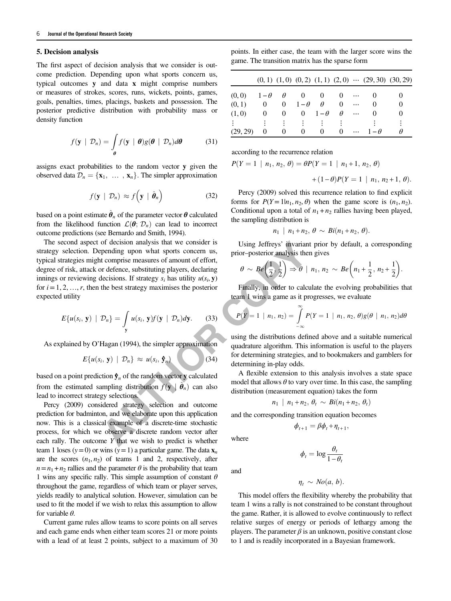#### 5. Decision analysis

The first aspect of decision analysis that we consider is outcome prediction. Depending upon what sports concern us, typical outcomes y and data x might comprise numbers or measures of strokes, scores, runs, wickets, points, games, goals, penalties, times, placings, baskets and possession. The posterior predictive distribution with probability mass or density function

$$
f(\mathbf{y} \mid \mathcal{D}_n) = \int_{\theta} f(\mathbf{y} \mid \boldsymbol{\theta}) g(\boldsymbol{\theta} \mid \mathcal{D}_n) d\boldsymbol{\theta} \tag{31}
$$

assigns exact probabilities to the random vector y given the observed data  $\mathcal{D}_n = {\mathbf{x}_1, \dots, \mathbf{x}_n}$ . The simpler approximation

$$
f(\mathbf{y} \mid \mathcal{D}_n) \approx f\left(\mathbf{y} \mid \hat{\boldsymbol{\theta}}_n\right) \tag{32}
$$

based on a point estimate  $\hat{\boldsymbol{\theta}}_n$  of the parameter vector  $\boldsymbol{\theta}$  calculated from the likelihood function  $\mathcal{L}(\theta; \mathcal{D}_n)$  can lead to incorrect<br>outcome predictions (see Bernardo and Smith 1994) outcome predictions (see [Bernardo and Smith, 1994\)](#page-9-0).

The second aspect of decision analysis that we consider is strategy selection. Depending upon what sports concern us, typical strategies might comprise measures of amount of effort, degree of risk, attack or defence, substituting players, declaring innings or reviewing decisions. If strategy  $s_i$  has utility  $u(s_i, y)$ for  $i = 1, 2, ..., r$ , then the best strategy maximises the posterior expected utility

$$
E\{u(s_i, \mathbf{y}) \mid \mathcal{D}_n\} = \int_{\mathbf{y}} u(s_i, \mathbf{y}) f(\mathbf{y} \mid \mathcal{D}_n) d\mathbf{y}.
$$
 (33)

As explained by O '[Hagan \(1994\),](#page-10-0) the simpler approximation

$$
E\{u(s_i, \mathbf{y}) \mid \mathcal{D}_n\} \approx u(s_i, \mathbf{\hat{y}}_n)
$$
 (34)

based on a point prediction  $\mathbf{\hat{y}}_n$  of the random vector **y** calculated from the estimated sampling distribution  $f(\mathbf{y} \mid \hat{\boldsymbol{\theta}}_n)$  can also<br>lead to incorrect strategy selections lead to incorrect strategy selections.

a laspect of descending that we consider is<br>  $E\{u(s_i, \mathbf{y}) \mid \mathcal{D}_n\} \cong u(s_i, \mathbf{y}_n)$ <br>
(biographic measures of amount of effort,<br>
it attack or defence, substituting players, declaring  $\theta \sim \text{Be}(\frac{1}{2}, \frac{1}{2}) \Rightarrow \theta$ <br>
itewi [Percy \(2009\)](#page-10-0) considered strategy selection and outcome prediction for badminton, and we elaborate upon this application now. This is a classical example of a discrete-time stochastic process, for which we observe a discrete random vector after each rally. The outcome  $Y$  that we wish to predict is whether team 1 loses (y = 0) or wins (y = 1) a particular game. The data  $\mathbf{x}_n$ are the scores  $(n_1, n_2)$  of teams 1 and 2, respectively, after  $n = n_1 + n_2$  rallies and the parameter  $\theta$  is the probability that team 1 wins any specific rally. This simple assumption of constant  $\theta$ throughout the game, regardless of which team or player serves, yields readily to analytical solution. However, simulation can be used to fit the model if we wish to relax this assumption to allow for variable  $\theta$ .

Current game rules allow teams to score points on all serves and each game ends when either team scores 21 or more points with a lead of at least 2 points, subject to a maximum of 30

points. In either case, the team with the larger score wins the game. The transition matrix has the sparse form

|                                   |                   |                |          |                                  |                |          | $(0, 1)$ $(1, 0)$ $(0, 2)$ $(1, 1)$ $(2, 0)$ $\cdots$ $(29, 30)$ $(30, 29)$ |                |
|-----------------------------------|-------------------|----------------|----------|----------------------------------|----------------|----------|-----------------------------------------------------------------------------|----------------|
| $(0,0)$ $1-\theta$ $\theta$ 0 0 0 |                   |                |          |                                  |                |          |                                                                             |                |
| (0, 1)                            | $\theta$          |                |          | $0 \t 1-\theta \t \theta \t 0$   |                | $\cdots$ |                                                                             |                |
| (1,0)                             | $\hspace{0.1em}0$ | $\overline{0}$ |          | $0 \t 1-\theta \t \theta \cdots$ |                |          |                                                                             |                |
|                                   |                   |                |          | a Bandar Bandar Bandar           | $\mathbb{R}^n$ |          |                                                                             | $\ddot{\cdot}$ |
| (29, 29)                          |                   | $\theta$       | $\theta$ | $\theta$                         | $\overline{0}$ |          | $\cdots$ 1- $\theta$                                                        |                |

according to the recurrence relation

$$
P(Y = 1 | n_1, n_2, \theta) = \theta P(Y = 1 | n_1 + 1, n_2, \theta)
$$

$$
+(1-\theta)P(Y = 1 | n_1, n_2+1, \theta).
$$

[Percy \(2009\)](#page-10-0) solved this recurrence relation to find explicit forms for  $P(Y = 1 | n_1, n_2, \theta)$  when the game score is  $(n_1, n_2)$ . | Conditional upon a total of  $n_1 + n_2$  rallies having been played, the sampling distribution is

$$
n_1 | n_1+n_2, \theta \sim Bi(n_1+n_2, \theta).
$$

Using Jeffreys ' invariant prior by default, a corresponding prior–posterior analysis then gives

$$
\theta \sim Be\left(\frac{1}{2},\frac{1}{2}\right) \Rightarrow \theta \mid n_1, n_2 \sim Be\left(n_1+\frac{1}{2},n_2+\frac{1}{2}\right).
$$

Finally, in order to calculate the evolving probabilities that team 1 wins a game as it progresses, we evaluate

$$
P(Y = 1 | n_1, n_2) = \int_{-\infty}^{\infty} P(Y = 1 | n_1, n_2, \theta) g(\theta | n_1, n_2) d\theta
$$

using the distributions de fined above and a suitable numerical quadrature algorithm. This information is useful to the players for determining strategies, and to bookmakers and gamblers for determining in-play odds.

A flexible extension to this analysis involves a state space model that allows  $\theta$  to vary over time. In this case, the sampling distribution (measurement equation) takes the form

$$
n_1 | n_1+n_2, \theta_t \sim Bi(n_1+n_2, \theta_t)
$$

and the corresponding transition equation becomes

$$
\phi_{t+1} = \beta \phi_t + \eta_{t+1},
$$

where

and

$$
\phi_t = \log \frac{\theta_t}{1 - \theta_t}
$$

 $\eta_t \sim No(a, b).$ 

This model offers the flexibility whereby the probability that team 1 wins a rally is not constrained to be constant throughout the game. Rather, it is allowed to evolve continuously to re flect relative surges of energy or periods of lethargy among the players. The parameter  $\beta$  is an unknown, positive constant close to 1 and is readily incorporated in a Bayesian framework.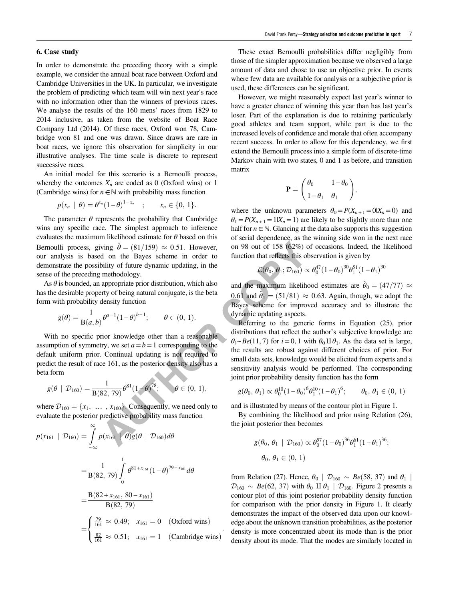#### 6. Case study

In order to demonstrate the preceding theory with a simple example, we consider the annual boat race between Oxford and Cambridge Universities in the UK. In particular, we investigate the problem of predicting which team will win next year 's race with no information other than the winners of previous races. We analyse the results of the 160 mens ' races from 1829 to 2014 inclusive, as taken from the website of [Boat Race](#page-9-0) [Company Ltd \(2014\)](#page-9-0). Of these races, Oxford won 78, Cambridge won 81 and one was drawn. Since draws are rare in boat races, we ignore this observation for simplicity in our illustrative analyses. The time scale is discrete to represent successive races.

An initial model for this scenario is a Bernoulli process, whereby the outcomes  $X_n$  are coded as 0 (Oxford wins) or 1 (Cambridge wins) for  $n \in \mathbb{N}$  with probability mass function

$$
p(x_n | \theta) = \theta^{x_n} (1-\theta)^{1-x_n}
$$
 ;  $x_n \in \{0, 1\}.$ 

The parameter  $\theta$  represents the probability that Cambridge wins any speci fic race. The simplest approach to inference evaluates the maximum likelihood estimate for  $\theta$  based on this Bernoulli process, giving  $\hat{\theta} = (81/159) \approx 0.51$ . However, our analysis is based on the Bayes scheme in order to our analysis is based on the Bayes scheme in order to demonstrate the possibility of future dynamic updating, in the sense of the preceding methodology.

As  $\theta$  is bounded, an appropriate prior distribution, which also has the desirable property of being natural conjugate, is the beta form with probability density function

$$
g(\theta) = \frac{1}{B(a,b)} \theta^{a-1} (1-\theta)^{b-1}; \qquad \theta \in (0, 1).
$$

With no speci fic prior knowledge other than a reasonable assumption of symmetry, we set  $a = b = 1$  corresponding to the default uniform prior. Continual updating is not required to predict the result of race 161, as the posterior density also has a beta form

$$
g(\theta \mid \mathcal{D}_{160}) = \frac{1}{B(82, 79)} \theta^{81} (1 - \theta)^{78}; \quad \theta \in (0, 1),
$$

where  $\mathcal{D}_{160} = \{x_1, \ldots, x_{160}\}$ . Consequently, we need only to evaluate the posterior predictive probability mass function evaluate the posterior predictive probability mass function

Bernoulli process, giving 
$$
\hat{\theta} = (81/159) \approx 0.51
$$
. However, on 98 out of 158 (62%)  
our analysis is based on the Bayes scheme in order to function that reflects this of  
demonstrate the possibility of future dynamic updating, in the  
sense of the preceding methodology.  
As  $\theta$  is bounded, an appropriate prior distribution, which also  
has the desirable property of being natural conjugate, is the beta  
form with probability density function  
 $g(\theta) = \frac{1}{B(a, b)} \theta^{a-1} (1-\theta)^{b-1}; \quad \theta \in (0, 1)$ .  
With no specific prior knowledge other than a reasonable  
definition of symmetry, we set  $a = b = 1$  corresponding to the  
default uniform prior. Continuing to the result of race 161, as the posterior density also has a  
predict the result of race 161, as the posterior density also has a  
product. For example, we set  $a = b = 1$  corresponding to the  
small data sets, knowledge  
predict the result of race 161, as the posterior density also has a  
small state sets, knowledge  
set a form  
 $g(\theta | D_{160}) = \frac{1}{B(82, 79)} \theta^{81} (1-\theta)^{78}; \quad \theta \in (0, 1)$ ,  
 $g(\theta_0, \theta_1) \propto \theta_0^{10} (1-\theta_0)^6$   
 $g(\theta_0, \theta_1) \propto \theta_0^{10} (1-\theta_0)^6$   
 $g(\theta_0, \theta_1 \mid D_{160}) = \frac{\pi}{\sqrt{D}} p(x_{16} | \theta) g(\theta | D_{160}) d\theta$   
 $g(\theta_0, \theta_1 \mid D_{160}) = \frac{\pi}{\sqrt{D}} p(x_{16} | \theta) g(\theta | D_{160}) d\theta$   
 $g(\theta_0, \theta_1 \mid D_{160}) = \frac{\pi}{\sqrt{D}} p(x_{16} | \theta) g(\theta | D_{160}) d\theta$   
 $g(\theta_0, \theta_1 \mid D_{160}) = \frac{\pi}{\sqrt{D}} p(x_{16} | \theta) g(\theta | D_{160}) d\theta$   
 $g(\theta_0, \theta_1 \mid D_{160}) = \frac{\pi}{\sqrt{D}} p(x_{16} | \theta) g(\theta | D_{160}) d\theta$   
 $g(\theta_0, \theta_1 \mid D$ 

These exact Bernoulli probabilities differ negligibly from those of the simpler approximation because we observed a large amount of data and chose to use an objective prior. In events where few data are available for analysis or a subjective prior is used, these differences can be signi ficant.

However, we might reasonably expect last year 's winner to have a greater chance of winning this year than has last year's loser. Part of the explanation is due to retaining particularly good athletes and team support, while part is due to the increased levels of con fidence and morale that often accompany recent success. In order to allow for this dependency, we first extend the Bernoulli process into a simple form of discrete-time Markov chain with two states, 0 and 1 as before, and transition matrix

$$
\mathbf{P} = \begin{pmatrix} \theta_0 & 1 - \theta_0 \\ 1 - \theta_1 & \theta_1 \end{pmatrix},
$$

where the unknown parameters  $\theta_0 = P(X_{n+1} = 0 | X_n = 0)$  and |  $\theta_1 = P(X_{n+1} = 1 | X_n = 1)$  are likely to be slightly more than one | half for  $n \in \mathbb{N}$ . Glancing at the data also supports this suggestion of serial dependence, as the winning side won in the next race on 98 out of 158 (62%) of occasions. Indeed, the likelihood function that reflects this observation is given by

$$
\mathcal{L}(\theta_0, \theta_1; \mathcal{D}_{160}) \propto \theta_0^{47} (1 - \theta_0)^{30} \theta_1^{51} (1 - \theta_1)^{30}
$$

and the maximum likelihood estimates are  $\hat{\theta}_0 = (47/77) \approx$  $0.61$  and  $\hat{\theta}_1 = (51/81) \approx 0.63$ . Again, though, we adopt the Bayes, scheme for improved accuracy, and to illustrate the Bayes scheme for improved accuracy and to illustrate the dynamic updating aspects.

Referring to the generic forms in Equation (25), prior distributions that re flect the author 's subjective knowledge are  $\theta_i \sim Be(11, 7)$  for  $i = 0, 1$  with  $\theta_0 \amalg \theta_1$ . As the data set is large, the results are robust against different choices of prior. For small data sets, knowledge would be elicited from experts and a sensitivity analysis would be performed. The corresponding joint prior probability density function has the form

$$
g(\theta_0, \theta_1) \propto \theta_0^{10} (1 - \theta_0)^6 \theta_1^{10} (1 - \theta_1)^6; \qquad \theta_0, \theta_1 \in (0, 1)
$$

and is illustrated by means of the contour plot in [Figure 1.](#page-8-0)

By combining the likelihood and prior using Relation (26), the joint posterior then becomes

$$
g(\theta_0, \theta_1 | \mathcal{D}_{160}) \propto \theta_0^{57} (1 - \theta_0)^{36} \theta_1^{61} (1 - \theta_1)^{36};
$$
  

$$
\theta_0, \theta_1 \in (0, 1)
$$

from Relation (27). Hence,  $\theta_0$  |  $\mathcal{D}_{160} \sim Be(58, 37)$  and  $\theta_1$ <br> $\mathcal{D}_{160} \sim Be(52, 37)$  with  $\theta_2$  II  $\theta_1$  |  $\mathcal{D}_{160}$  Figure 2 presents Relation (27). Hence,  $\theta_0 + D_{160} \sim Be(38, 37)$  and  $\theta_1 + D_{160}$ . [Figure 2](#page-8-0) presents a<br>  $\sim Be(62, 37)$  with  $\theta_0 \amalg \theta_1 + D_{160}$ . Figure 2 presents a  $D_{160} \sim Be(02, 37)$  with  $\theta_0 \perp \theta_1 + D_{160}$ . Figure 2 presents a contour plot of this joint posterior probability density function for comparison with the prior density in [Figure 1.](#page-8-0) It clearly demonstrates the impact of the observed data upon our knowledge about the unknown transition probabilities, as the posterior density is more concentrated about its mode than is the prior density about its mode. That the modes are similarly located in

: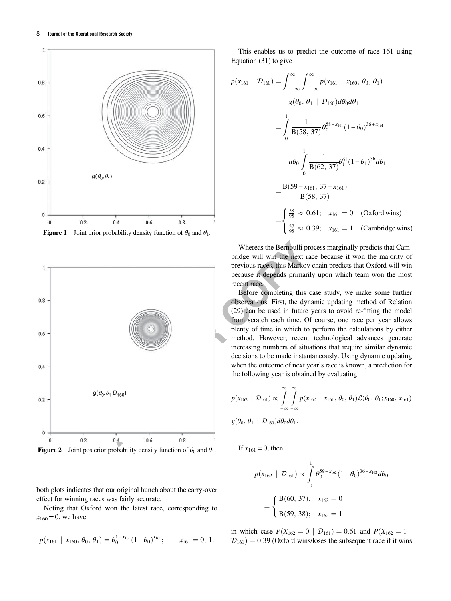<span id="page-8-0"></span>

**Figure 1** Joint prior probability density function of  $\theta_0$  and  $\theta_1$ .



**Figure 2** Joint posterior probability density function of  $\theta_0$  and  $\theta_1$ .

both plots indicates that our original hunch about the carry-over

Noting that Oxford won the latest race, corresponding to  $x_{160} = 0$ , we have

$$
p(x_{161} \mid x_{160}, \theta_0, \theta_1) = \theta_0^{1-x_{161}} (1-\theta_0)^{x_{161}};
$$
  $x_{161} = 0, 1.$ 

This enables us to predict the outcome of race 161 using Equation (31) to give

$$
p(x_{161} | \mathcal{D}_{160}) = \int_{-\infty}^{\infty} \int_{-\infty}^{\infty} p(x_{161} | x_{160}, \theta_0, \theta_1)
$$
  
\n
$$
g(\theta_0, \theta_1 | \mathcal{D}_{160}) d\theta_0 d\theta_1
$$
  
\n
$$
= \int_{0}^{1} \frac{1}{B(58, 37)} \theta_0^{58 - x_{161}} (1 - \theta_0)^{36 + x_{161}}
$$
  
\n
$$
d\theta_0 \int_{0}^{1} \frac{1}{B(62, 37)} \theta_1^{61} (1 - \theta_1)^{36} d\theta_1
$$
  
\n
$$
= \frac{B(59 - x_{161}, 37 + x_{161})}{B(58, 37)}
$$
  
\n
$$
= \begin{cases} \frac{58}{95} \approx 0.61; & x_{161} = 0 \quad \text{(Oxford wins)} \\ \frac{37}{95} \approx 0.39; & x_{161} = 1 \quad \text{(Cambridge wins)} \end{cases}
$$

Whereas the Bernoulli process marginally predicts that Cambridge will win the next race because it won the majority of previous races, this Markov chain predicts that Oxford will win because it depends primarily upon which team won the most recent race.

Before completing this case study, we make some further observations. First, the dynamic updating method of Relation (29) can be used in future years to avoid re-fitting the model from scratch each time. Of course, one race per year allows plenty of time in which to perform the calculations by either method. However, recent technological advances generate increasing numbers of situations that require similar dynamic decisions to be made instantaneously. Using dynamic updating when the outcome of next year 's race is known, a prediction for the following year is obtained by evaluating

$$
p(x_{162} | \mathcal{D}_{161}) \propto \int_{-\infty}^{\infty} \int_{-\infty}^{\infty} p(x_{162} | x_{161}, \theta_0, \theta_1) \mathcal{L}(\theta_0, \theta_1; x_{160}, x_{161})
$$
  
 
$$
g(\theta_0, \theta_1 | \mathcal{D}_{160}) d\theta_0 d\theta_1.
$$

If  $x_{161} = 0$ , then

$$
p(x_{162} | \mathcal{D}_{161}) \propto \int_{0}^{1} \theta_0^{59 - x_{162}} (1 - \theta_0)^{36 + x_{162}} d\theta_0
$$
  
= 
$$
\begin{cases} B(60, 37); & x_{162} = 0 \\ B(59, 38); & x_{162} = 1 \end{cases}
$$

in which case  $P(X_{162} = 0 \mid \mathcal{D}_{161}) = 0.61$  and  $P(X_{162} = 1$ <br> $\mathcal{D}_{161} = 0.39$  (Oxford wins/loses the subsequent race if it wis  $\frac{1}{2}$   $\frac{1}{2}$   $\frac{1}{2}$   $\frac{1}{2}$   $\frac{1}{2}$   $\frac{1}{2}$   $\frac{1}{2}$   $\frac{1}{2}$   $\frac{1}{2}$   $\frac{1}{2}$   $\frac{1}{2}$   $\frac{1}{2}$   $\frac{1}{2}$   $\frac{1}{2}$   $\frac{1}{2}$   $\frac{1}{2}$   $\frac{1}{2}$   $\frac{1}{2}$   $\frac{1}{2}$   $\frac{1}{2}$   $\frac{1}{2}$   $\frac{1}{2}$   $D_{161}$ ) = 0.39 (Oxford wins/loses the subsequent race if it wins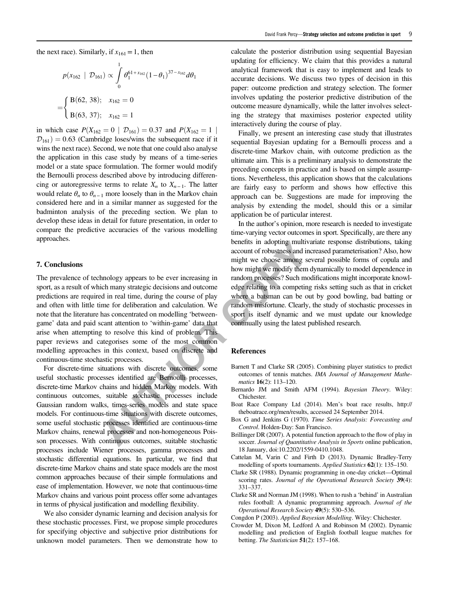<span id="page-9-0"></span>
$$
p(x_{162} | \mathcal{D}_{161}) \propto \int_{0}^{1} \theta_1^{61 + x_{162}} (1 - \theta_1)^{37 - x_{162}} d\theta_1
$$
  
= 
$$
\begin{cases} B(62, 38); & x_{162} = 0 \\ B(63, 37); & x_{162} = 1 \end{cases}
$$

in which case  $P(X_{162} = 0 \mid \mathcal{D}_{161}) = 0.37$  and  $P(X_{162} = 1$ <br> $\mathcal{D}_{161} = 0.63$  (Cambridge loses/wins the subsequent race if  $\frac{1}{102}$  (Cambridge loses/wins the subsequent race if it  $D_{161}$  = 0.05 (Cambridge loses/wins the subsequent race if it wins the next race). Second, we note that one could also analyse the application in this case study by means of a time-series model or a state space formulation. The former would modify the Bernoulli process described above by introducing differencing or autoregressive terms to relate  $X_n$  to  $X_{n-1}$ . The latter would relate  $\theta_n$  to  $\theta_{n-1}$  more loosely than in the Markov chain considered here and in a similar manner as suggested for the badminton analysis of the preceding section. We plan to develop these ideas in detail for future presentation, in order to compare the predictive accuracies of the various modelling approaches.

#### 7. Conclusions

The prevalence of technology appears to be ever increasing in sport, as a result of which many strategic decisions and outcome predictions are required in real time, during the course of play and often with little time for deliberation and calculation. We note that the literature has concentrated on modelling 'betweengame' data and paid scant attention to 'within-game' data that arise when attempting to resolve this kind of problem. This paper reviews and categorises some of the most common modelling approaches in this context, based on discrete and continuous-time stochastic processes.

**EXERCT:** The mathemation and activation and activation and activation and the model of the model of the model of the model of the model of the model of the model of the model of the model of the model of the model of the For discrete-time situations with discrete outcomes, some useful stochastic processes identi fied are Bernoulli processes, discrete-time Markov chains and hidden Markov models. With continuous outcomes, suitable stochastic processes include Gaussian random walks, times-series models and state space models. For continuous-time situations with discrete outcomes, some useful stochastic processes identi fied are continuous-time Markov chains, renewal processes and non-homogeneous Poisson processes. With continuous outcomes, suitable stochastic processes include Wiener processes, gamma processes and stochastic differential equations. In particular, we find that discrete-time Markov chains and state space models are the most common approaches because of their simple formulations and ease of implementation. However, we note that continuous-time Markov chains and various point process offer some advantages in terms of physical justi fication and modelling flexibility.

We also consider dynamic learning and decision analysis for these stochastic processes. First, we propose simple procedures for specifying objective and subjective prior distributions for unknown model parameters. Then we demonstrate how to calculate the posterior distribution using sequential Bayesian updating for efficiency. We claim that this provides a natural analytical framework that is easy to implement and leads to accurate decisions. We discuss two types of decision in this paper: outcome prediction and strategy selection. The former involves updating the posterior predictive distribution of the outcome measure dynamically, while the latter involves selecting the strategy that maximises posterior expected utility interactively during the course of play.

Finally, we present an interesting case study that illustrates sequential Bayesian updating for a Bernoulli process and a discrete-time Markov chain, with outcome prediction as the ultimate aim. This is a preliminary analysis to demonstrate the preceding concepts in practice and is based on simple assumptions. Nevertheless, this application shows that the calculations are fairly easy to perform and shows how effective this approach can be. Suggestions are made for improving the analysis by extending the model, should this or a similar application be of particular interest.

In the author 's opinion, more research is needed to investigate time-varying vector outcomes in sport. Speci fically, are there any bene fits in adopting multivariate response distributions, taking account of robustness and increased parameterisation? Also, how might we choose among several possible forms of copula and how might we modify them dynamically to model dependence in random processes? Such modi fications might incorporate knowledge relating to a competing risks setting such as that in cricket where a batsman can be out by good bowling, bad batting or random misfortune. Clearly, the study of stochastic processes in sport is itself dynamic and we must update our knowledge continually using the latest published research.

#### References

- Barnett T and Clarke SR (2005). Combining player statistics to predict outcomes of tennis matches. IMA Journal of Management Mathematics 16(2): 113–120.
- Bernardo JM and Smith AFM (1994). Bayesian Theory. Wiley: Chichester.
- Boat Race Company Ltd (2014). Men 's boat race results, [http://](http://theboatrace.org/men/results) theboatrace.org/men/results, accessed 24 September 2014.
- Box G and Jenkins G (1970). Time Series Analysis: Forecasting and Control. Holden-Day: San Francisco.
- Brillinger DR (2007). A potential function approach to the flow of play in soccer. Journal of Quantitative Analysis in Sports online publication, 18 January, doi[:10.2202/1559-0410.1048.](http://dx.doi.org/10.2202�/�1559-0410.1048)
- Cattelan M, Varin C and Firth D (2013). Dynamic Bradley-Terry modelling of sports tournaments. Applied Statistics 62(1): 135-150.
- Clarke SR (1988). Dynamic programming in one-day cricket—Optimal scoring rates. Journal of the Operational Research Society 39(4): 331 –337.
- Clarke SR and Norman JM (1998). When to rush a 'behind ' in Australian rules football: A dynamic programming approach. Journal of the Operational Research Society 49(5): 530 –536.
- Congdon P (2003). Applied Bayesian Modelling. Wiley: Chichester.
- Crowder M, Dixon M, Ledford A and Robinson M (2002). Dynamic modelling and prediction of English football league matches for betting. The Statistician 51(2): 157-168.